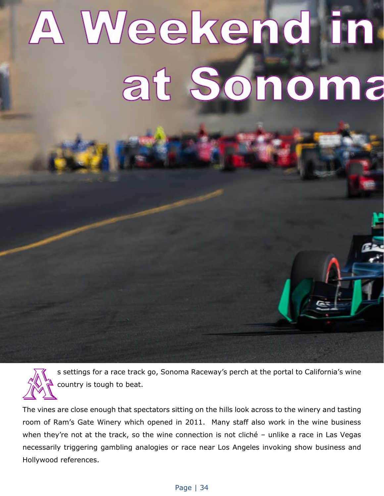## A Weekend in at Sonoma



s settings for a race track go, Sonoma Raceway's perch at the portal to California's wine country is tough to beat.

The vines are close enough that spectators sitting on the hills look across to the winery and tasting room of Ram's Gate Winery which opened in 2011. Many staff also work in the wine business when they're not at the track, so the wine connection is not cliché - unlike a race in Las Vegas necessarily triggering gambling analogies or race near Los Angeles invoking show business and Hollywood references.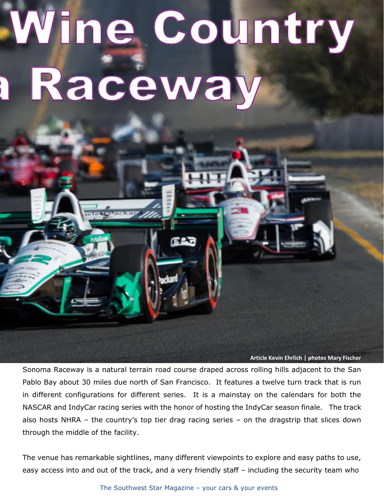## Wine Country Raceway

**Article Kevin Ehrlich | photos Mary Fischer**

Sonoma Raceway is a natural terrain road course draped across rolling hills adjacent to the San Pablo Bay about 30 miles due north of San Francisco. It features a twelve turn track that is run in different configurations for different series. It is a mainstay on the calendars for both the NASCAR and IndyCar racing series with the honor of hosting the IndyCar season finale. The track also hosts NHRA – the country's top tier drag racing series – on the dragstrip that slices down through the middle of the facility.

The venue has remarkable sightlines, many different viewpoints to explore and easy paths to use, easy access into and out of the track, and a very friendly staff – including the security team who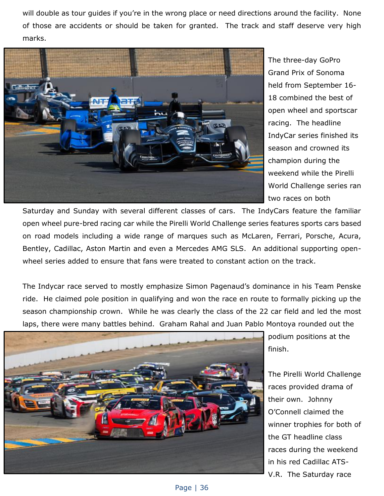will double as tour guides if you're in the wrong place or need directions around the facility. None of those are accidents or should be taken for granted. The track and staff deserve very high marks.



The three-day GoPro Grand Prix of Sonoma held from September 16- 18 combined the best of open wheel and sportscar racing. The headline IndyCar series finished its season and crowned its champion during the weekend while the Pirelli World Challenge series ran two races on both

Saturday and Sunday with several different classes of cars. The IndyCars feature the familiar open wheel pure-bred racing car while the Pirelli World Challenge series features sports cars based on road models including a wide range of marques such as McLaren, Ferrari, Porsche, Acura, Bentley, Cadillac, Aston Martin and even a Mercedes AMG SLS. An additional supporting openwheel series added to ensure that fans were treated to constant action on the track.

The Indycar race served to mostly emphasize Simon Pagenaud's dominance in his Team Penske ride. He claimed pole position in qualifying and won the race en route to formally picking up the season championship crown. While he was clearly the class of the 22 car field and led the most laps, there were many battles behind. Graham Rahal and Juan Pablo Montoya rounded out the



podium positions at the finish.

The Pirelli World Challenge races provided drama of their own. Johnny O'Connell claimed the winner trophies for both of the GT headline class races during the weekend in his red Cadillac ATS-V.R. The Saturday race

Page | 36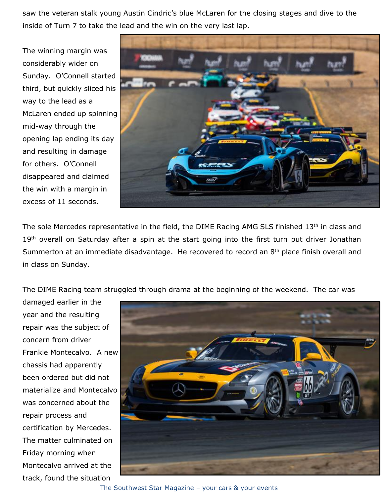saw the veteran stalk young Austin Cindric's blue McLaren for the closing stages and dive to the inside of Turn 7 to take the lead and the win on the very last lap.

The winning margin was considerably wider on Sunday. O'Connell started third, but quickly sliced his way to the lead as a McLaren ended up spinning mid-way through the opening lap ending its day and resulting in damage for others. O'Connell disappeared and claimed the win with a margin in excess of 11 seconds.



The sole Mercedes representative in the field, the DIME Racing AMG SLS finished 13<sup>th</sup> in class and 19<sup>th</sup> overall on Saturday after a spin at the start going into the first turn put driver Jonathan Summerton at an immediate disadvantage. He recovered to record an 8<sup>th</sup> place finish overall and in class on Sunday.

The DIME Racing team struggled through drama at the beginning of the weekend. The car was

damaged earlier in the year and the resulting repair was the subject of concern from driver Frankie Montecalvo. A new chassis had apparently been ordered but did not materialize and Montecalvo was concerned about the repair process and certification by Mercedes. The matter culminated on Friday morning when Montecalvo arrived at the track, found the situation



The Southwest Star Magazine – your cars & your events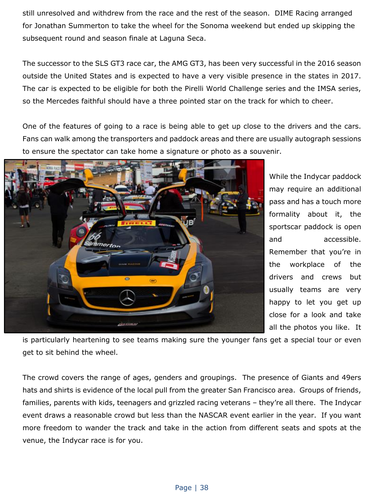still unresolved and withdrew from the race and the rest of the season. DIME Racing arranged for Jonathan Summerton to take the wheel for the Sonoma weekend but ended up skipping the subsequent round and season finale at Laguna Seca.

The successor to the SLS GT3 race car, the AMG GT3, has been very successful in the 2016 season outside the United States and is expected to have a very visible presence in the states in 2017. The car is expected to be eligible for both the Pirelli World Challenge series and the IMSA series, so the Mercedes faithful should have a three pointed star on the track for which to cheer.

One of the features of going to a race is being able to get up close to the drivers and the cars. Fans can walk among the transporters and paddock areas and there are usually autograph sessions to ensure the spectator can take home a signature or photo as a souvenir.



While the Indycar paddock may require an additional pass and has a touch more formality about it, the sportscar paddock is open and accessible. Remember that you're in the workplace of the drivers and crews but usually teams are very happy to let you get up close for a look and take all the photos you like. It

is particularly heartening to see teams making sure the younger fans get a special tour or even get to sit behind the wheel.

The crowd covers the range of ages, genders and groupings. The presence of Giants and 49ers hats and shirts is evidence of the local pull from the greater San Francisco area. Groups of friends, families, parents with kids, teenagers and grizzled racing veterans – they're all there. The Indycar event draws a reasonable crowd but less than the NASCAR event earlier in the year. If you want more freedom to wander the track and take in the action from different seats and spots at the venue, the Indycar race is for you.